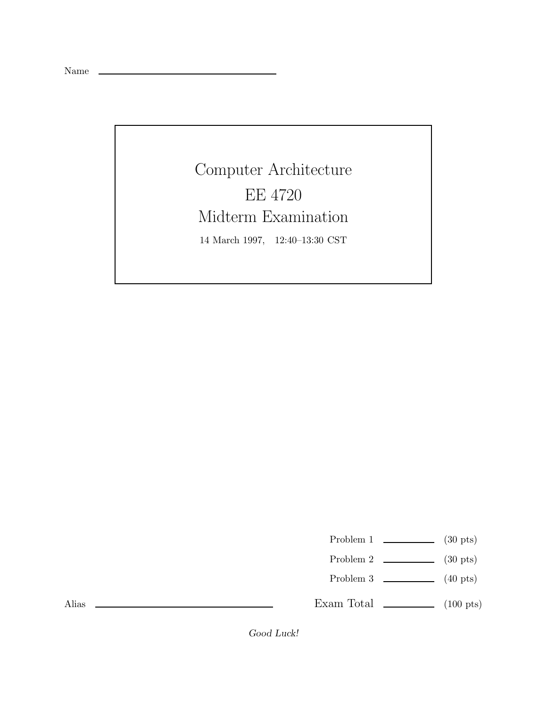Name

Computer Architecture EE 4720 Midterm Examination 14 March 1997, 12:40–13:30 CST

Problem 1  $\qquad \qquad$  (30 pts)

- Problem 2  $\qquad \qquad$  (30 pts)
- Problem 3  $\qquad \qquad$  (40 pts)

Exam Total  $\qquad \qquad$  (100 pts)

Alias

*Good Luck!*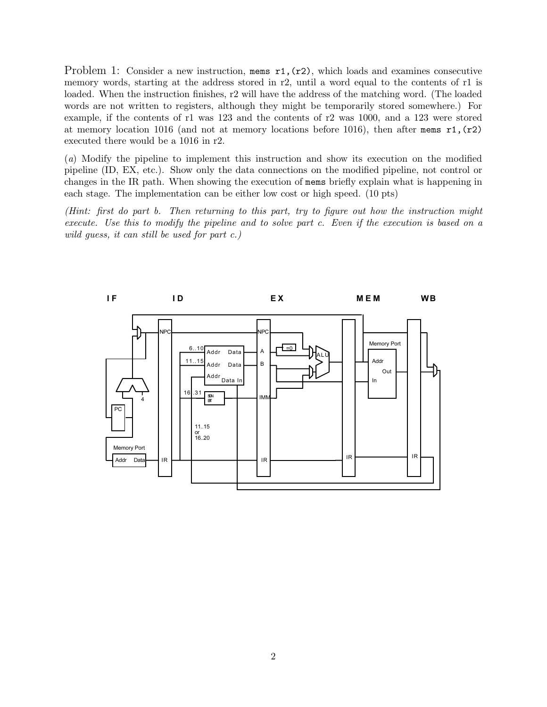Problem 1: Consider a new instruction, mems  $r1, (r2)$ , which loads and examines consecutive memory words, starting at the address stored in r2, until a word equal to the contents of r1 is loaded. When the instruction finishes, r2 will have the address of the matching word. (The loaded words are not written to registers, although they might be temporarily stored somewhere.) For example, if the contents of r1 was 123 and the contents of r2 was 1000, and a 123 were stored at memory location 1016 (and not at memory locations before 1016), then after mems  $r1$ ,  $(r2)$ executed there would be a 1016 in r2.

(a) Modify the pipeline to implement this instruction and show its execution on the modified pipeline (ID, EX, etc.). Show only the data connections on the modified pipeline, not control or changes in the IR path. When showing the execution of mems briefly explain what is happening in each stage. The implementation can be either low cost or high speed. (10 pts)

(Hint: first do part b. Then returning to this part, try to figure out how the instruction might execute. Use this to modify the pipeline and to solve part c. Even if the execution is based on a wild guess, it can still be used for part c.)

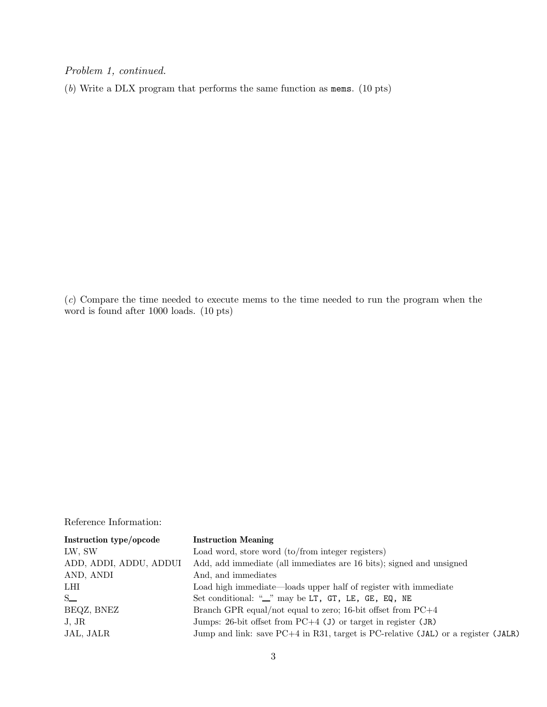Problem 1, continued.

(b) Write a DLX program that performs the same function as mems. (10 pts)

(c) Compare the time needed to execute mems to the time needed to run the program when the word is found after 1000 loads. (10 pts)

Reference Information:

| Instruction type/opcode | <b>Instruction Meaning</b>                                                          |
|-------------------------|-------------------------------------------------------------------------------------|
| LW, SW                  | Load word, store word (to/from integer registers)                                   |
| ADD, ADDI, ADDU, ADDUI  | Add, add immediate (all immediates are 16 bits); signed and unsigned                |
| AND, ANDI               | And, and immediates                                                                 |
| LHI                     | Load high immediate—loads upper half of register with immediate                     |
| $S_{-}$                 | Set conditional: "_" may be LT, GT, LE, GE, EQ, NE                                  |
| BEQZ, BNEZ              | Branch GPR equal/not equal to zero; 16-bit offset from $PC+4$                       |
| J, JR                   | Jumps: 26-bit offset from $PC+4$ (J) or target in register (JR)                     |
| JAL, JALR               | Jump and link: save $PC+4$ in R31, target is PC-relative (JAL) or a register (JALR) |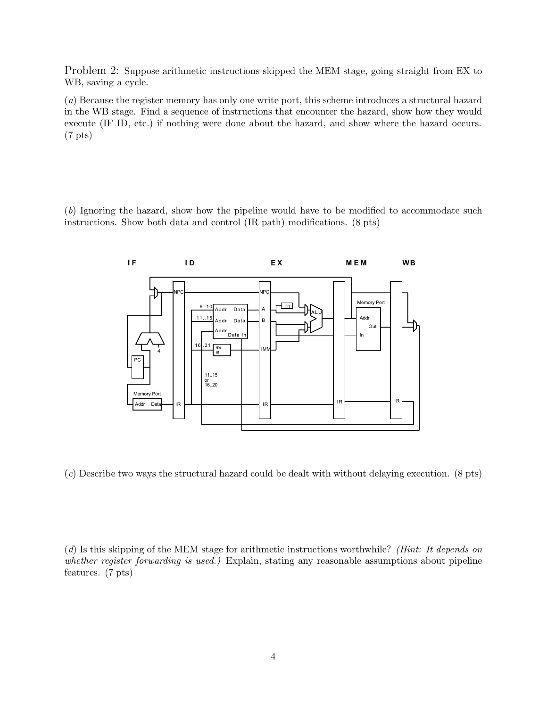Problem 2: Suppose arithmetic instructions skipped the MEM stage, going straight from EX to WB, saving a cycle.

(a) Because the register memory has only one write port, this scheme introduces a structural hazard in the WB stage. Find a sequence of instructions that encounter the hazard, show how they would execute (IF ID, etc.) if nothing were done about the hazard, and show where the hazard occurs. (7 pts)

(b) Ignoring the hazard, show how the pipeline would have to be modified to accommodate such instructions. Show both data and control (IR path) modifications. (8 pts)



(c) Describe two ways the structural hazard could be dealt with without delaying execution. (8 pts)

(d) Is this skipping of the MEM stage for arithmetic instructions worthwhile? (Hint: It depends on whether register forwarding is used.) Explain, stating any reasonable assumptions about pipeline features. (7 pts)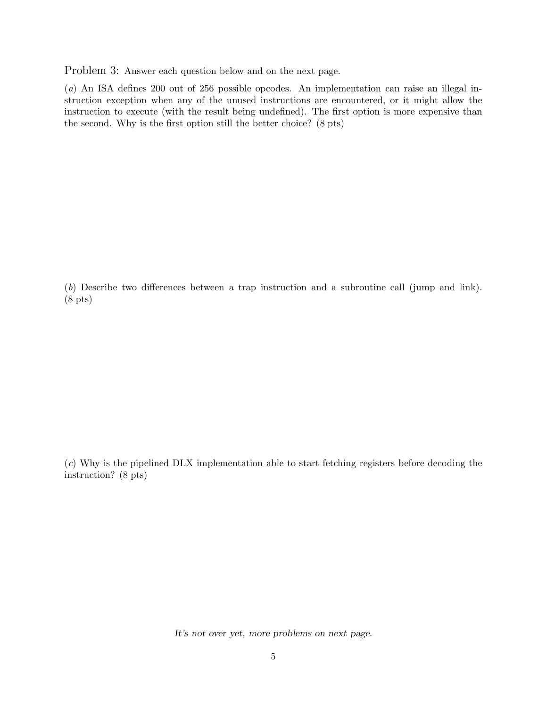Problem 3: Answer each question below and on the next page.

(a) An ISA defines 200 out of 256 possible opcodes. An implementation can raise an illegal instruction exception when any of the unused instructions are encountered, or it might allow the instruction to execute (with the result being undefined). The first option is more expensive than the second. Why is the first option still the better choice? (8 pts)

(b) Describe two differences between a trap instruction and a subroutine call (jump and link). (8 pts)

(c) Why is the pipelined DLX implementation able to start fetching registers before decoding the instruction? (8 pts)

*It's not over yet, more problems on next page.*